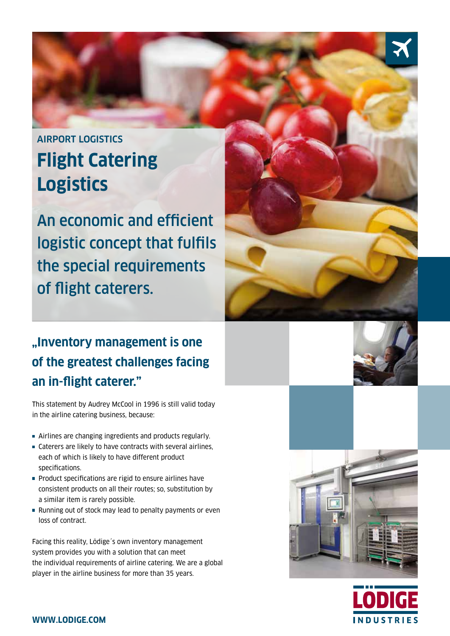# airport logistics **Flight Catering Logistics**

An economic and efficient logistic concept that fulfils the special requirements of flight caterers.

## **"Inventory management is one of the greatest challenges facing an in-flight caterer."**

This statement by Audrey McCool in 1996 is still valid today in the airline catering business, because:

- Airlines are changing ingredients and products regularly.
- Caterers are likely to have contracts with several airlines, each of which is likely to have different product specifications.
- **Product specifications are rigid to ensure airlines have** consistent products on all their routes; so, substitution by a similar item is rarely possible.
- Running out of stock may lead to penalty payments or even loss of contract.

Facing this reality, Lödige´s own inventory management system provides you with a solution that can meet the individual requirements of airline catering. We are a global player in the airline business for more than 35 years.





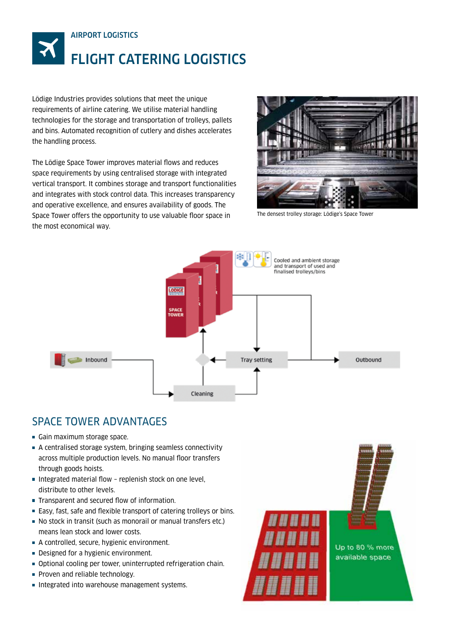

Lödige Industries provides solutions that meet the unique requirements of airline catering. We utilise material handling technologies for the storage and transportation of trolleys, pallets and bins. Automated recognition of cutlery and dishes accelerates the handling process.

The Lödige Space Tower improves material flows and reduces space requirements by using centralised storage with integrated vertical transport. It combines storage and transport functionalities and integrates with stock control data. This increases transparency and operative excellence, and ensures availability of goods. The Space Tower offers the opportunity to use valuable floor space in the most economical way.



The densest trolley storage: Lödige's Space Tower



## SPACE TOWER ADVANTAGES

- Gain maximum storage space.
- A centralised storage system, bringing seamless connectivity across multiple production levels. No manual floor transfers through goods hoists.
- Integrated material flow replenish stock on one level, distribute to other levels.
- Transparent and secured flow of information.
- Easy, fast, safe and flexible transport of catering trolleys or bins.
- No stock in transit (such as monorail or manual transfers etc.) means lean stock and lower costs.
- A controlled, secure, hygienic environment.
- Designed for a hygienic environment.
- Optional cooling per tower, uninterrupted refrigeration chain.
- Proven and reliable technology.
- Integrated into warehouse management systems.

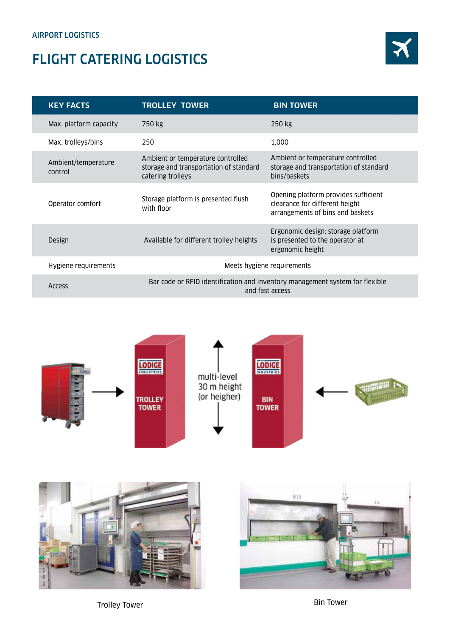## FLIGHT CATERING LOGISTICS



| <b>KEY FACTS</b>               | <b>TROLLEY TOWER</b>                                                                             | <b>BIN TOWER</b>                                                                                           |  |
|--------------------------------|--------------------------------------------------------------------------------------------------|------------------------------------------------------------------------------------------------------------|--|
| Max. platform capacity         | 750 kg                                                                                           | 250 kg                                                                                                     |  |
| Max. trolleys/bins             | 250                                                                                              | 1,000                                                                                                      |  |
| Ambient/temperature<br>control | Ambient or temperature controlled<br>storage and transportation of standard<br>catering trolleys | Ambient or temperature controlled<br>storage and transportation of standard<br>bins/baskets                |  |
| Operator comfort               | Storage platform is presented flush<br>with floor                                                | Opening platform provides sufficient<br>clearance for different height<br>arrangements of bins and baskets |  |
| Design                         | Available for different trolley heights                                                          | Ergonomic design; storage platform<br>is presented to the operator at<br>ergonomic height                  |  |
| Hygiene requirements           | Meets hygiene requirements                                                                       |                                                                                                            |  |
| Access                         | Bar code or RFID identification and inventory management system for flexible<br>and fast access  |                                                                                                            |  |